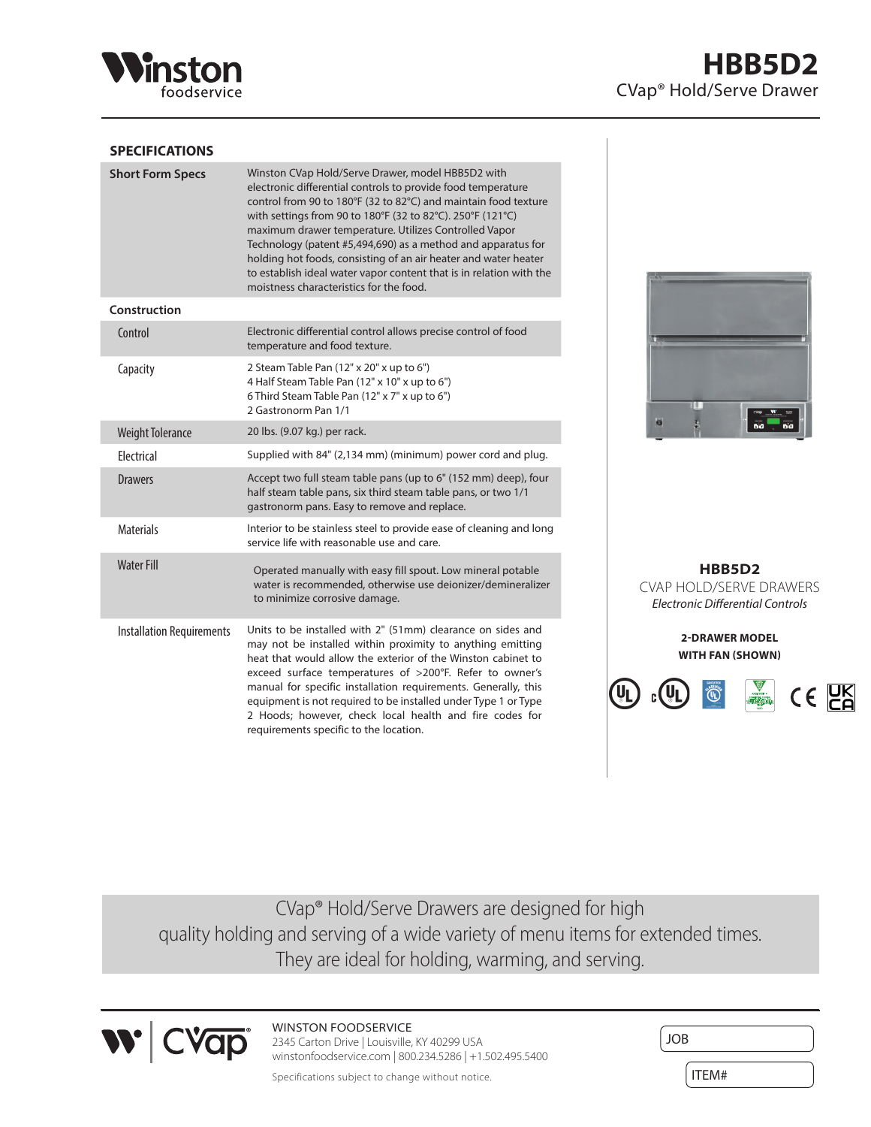

## **SPECIFICATIONS**

| <b>Short Form Specs</b>          | Winston CVap Hold/Serve Drawer, model HBB5D2 with<br>electronic differential controls to provide food temperature<br>control from 90 to 180°F (32 to 82°C) and maintain food texture<br>with settings from 90 to 180°F (32 to 82°C). 250°F (121°C)<br>maximum drawer temperature. Utilizes Controlled Vapor<br>Technology (patent #5,494,690) as a method and apparatus for<br>holding hot foods, consisting of an air heater and water heater<br>to establish ideal water vapor content that is in relation with the<br>moistness characteristics for the food. |
|----------------------------------|------------------------------------------------------------------------------------------------------------------------------------------------------------------------------------------------------------------------------------------------------------------------------------------------------------------------------------------------------------------------------------------------------------------------------------------------------------------------------------------------------------------------------------------------------------------|
| Construction                     |                                                                                                                                                                                                                                                                                                                                                                                                                                                                                                                                                                  |
| Control                          | Electronic differential control allows precise control of food<br>temperature and food texture.                                                                                                                                                                                                                                                                                                                                                                                                                                                                  |
| Capacity                         | 2 Steam Table Pan (12" x 20" x up to 6")<br>4 Half Steam Table Pan (12" x 10" x up to 6")<br>6 Third Steam Table Pan (12" x 7" x up to 6")<br>2 Gastronorm Pan 1/1                                                                                                                                                                                                                                                                                                                                                                                               |
| <b>Weight Tolerance</b>          | 20 lbs. (9.07 kg.) per rack.                                                                                                                                                                                                                                                                                                                                                                                                                                                                                                                                     |
| Electrical                       | Supplied with 84" (2,134 mm) (minimum) power cord and plug.                                                                                                                                                                                                                                                                                                                                                                                                                                                                                                      |
| <b>Drawers</b>                   | Accept two full steam table pans (up to 6" (152 mm) deep), four<br>half steam table pans, six third steam table pans, or two 1/1<br>gastronorm pans. Easy to remove and replace.                                                                                                                                                                                                                                                                                                                                                                                 |
| <b>Materials</b>                 | Interior to be stainless steel to provide ease of cleaning and long<br>service life with reasonable use and care.                                                                                                                                                                                                                                                                                                                                                                                                                                                |
| <b>Water Fill</b>                | Operated manually with easy fill spout. Low mineral potable<br>water is recommended, otherwise use deionizer/demineralizer<br>to minimize corrosive damage.                                                                                                                                                                                                                                                                                                                                                                                                      |
| <b>Installation Requirements</b> | Units to be installed with 2" (51mm) clearance on sides and<br>may not be installed within proximity to anything emitting<br>heat that would allow the exterior of the Winston cabinet to<br>exceed surface temperatures of >200°F. Refer to owner's<br>manual for specific installation requirements. Generally, this<br>equipment is not required to be installed under Type 1 or Type<br>2 Hoods; however, check local health and fire codes for<br>requirements specific to the location.                                                                    |



**HBB5D2** CVAP HOLD/SERVE DRAWERS *Electronic Differential Controls*

> **2-DRAWER MODEL WITH FAN (SHOWN)**



CVap® Hold/Serve Drawers are designed for high quality holding and serving of a wide variety of menu items for extended times. They are ideal for holding, warming, and serving.



WINSTON FOODSERVICE 2345 Carton Drive | Louisville, KY 40299 USA

winstonfoodservice.com | 800.234.5286 | +1.502.495.5400

Specifications subject to change without notice.

| <b>JOB</b> |  |
|------------|--|
| ITEM#      |  |